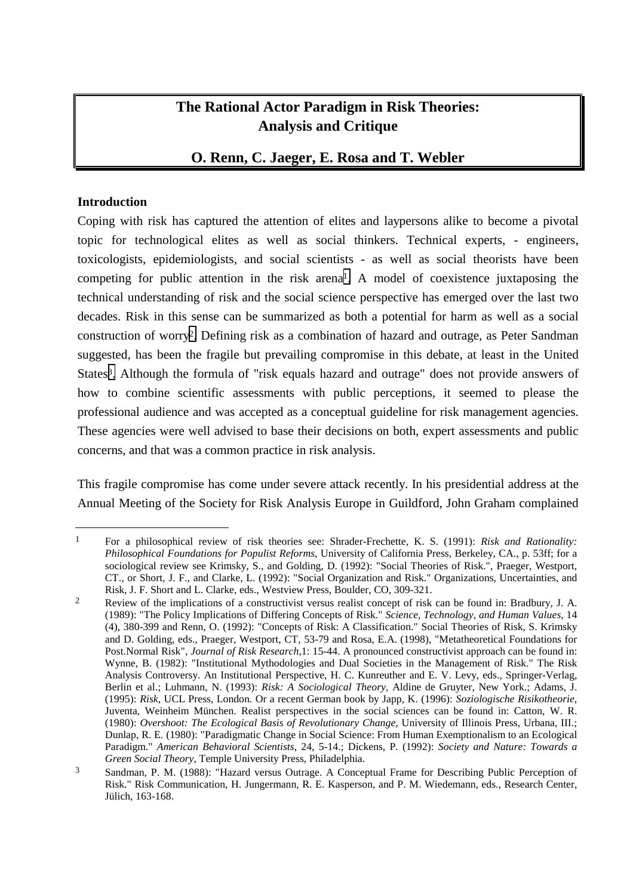# **The Rational Actor Paradigm in Risk Theories: Analysis and Critique**

## **O. Renn, C. Jaeger, E. Rosa and T. Webler**

## **Introduction**

 $\overline{a}$ 

Coping with risk has captured the attention of elites and laypersons alike to become a pivotal topic for technological elites as well as social thinkers. Technical experts, - engineers, toxicologists, epidemiologists, and social scientists - as well as social theorists have been competing for public attention in the risk arena1. A model of coexistence juxtaposing the technical understanding of risk and the social science perspective has emerged over the last two decades. Risk in this sense can be summarized as both a potential for harm as well as a social construction of worry2. Defining risk as a combination of hazard and outrage, as Peter Sandman suggested, has been the fragile but prevailing compromise in this debate, at least in the United States<sup>3</sup>. Although the formula of "risk equals hazard and outrage" does not provide answers of how to combine scientific assessments with public perceptions, it seemed to please the professional audience and was accepted as a conceptual guideline for risk management agencies. These agencies were well advised to base their decisions on both, expert assessments and public concerns, and that was a common practice in risk analysis.

This fragile compromise has come under severe attack recently. In his presidential address at the Annual Meeting of the Society for Risk Analysis Europe in Guildford, John Graham complained

<sup>1</sup> For a philosophical review of risk theories see: Shrader-Frechette, K. S. (1991): *Risk and Rationality: Philosophical Foundations for Populist Reforms*, University of California Press, Berkeley, CA., p. 53ff; for a sociological review see Krimsky, S., and Golding, D. (1992): "Social Theories of Risk.", Praeger, Westport, CT., or Short, J. F., and Clarke, L. (1992): "Social Organization and Risk." Organizations, Uncertainties, and Risk, J. F. Short and L. Clarke, eds., Westview Press, Boulder, CO, 309-321.

<sup>2</sup> Review of the implications of a constructivist versus realist concept of risk can be found in: Bradbury, J. A. (1989): "The Policy Implications of Differing Concepts of Risk." *Science, Technology, and Human Values*, 14 (4), 380-399 and Renn, O. (1992): "Concepts of Risk: A Classification." Social Theories of Risk, S. Krimsky and D. Golding, eds., Praeger, Westport, CT, 53-79 and Rosa, E.A. (1998), "Metatheoretical Foundations for Post.Normal Risk", *Journal of Risk Research,*1: 15-44. A pronounced constructivist approach can be found in: Wynne, B. (1982): "Institutional Mythodologies and Dual Societies in the Management of Risk." The Risk Analysis Controversy. An Institutional Perspective, H. C. Kunreuther and E. V. Levy, eds., Springer-Verlag, Berlin et al.; Luhmann, N. (1993): *Risk: A Sociological Theory,* Aldine de Gruyter, New York.; Adams, J. (1995): *Risk*, UCL Press, London. Or a recent German book by Japp, K. (1996): *Soziologische Risikotheorie*, Juventa, Weinheim München. Realist perspectives in the social sciences can be found in: Catton, W. R. (1980): *Overshoot: The Ecological Basis of Revolutionary Change*, University of Illinois Press, Urbana, III.; Dunlap, R. E. (1980): "Paradigmatic Change in Social Science: From Human Exemptionalism to an Ecological Paradigm." *American Behavioral Scientists*, 24, 5-14.; Dickens, P. (1992): *Society and Nature: Towards a Green Social Theory*, Temple University Press, Philadelphia.

<sup>3</sup> Sandman, P. M. (1988): "Hazard versus Outrage. A Conceptual Frame for Describing Public Perception of Risk." Risk Communication, H. Jungermann, R. E. Kasperson, and P. M. Wiedemann, eds., Research Center, Jülich, 163-168.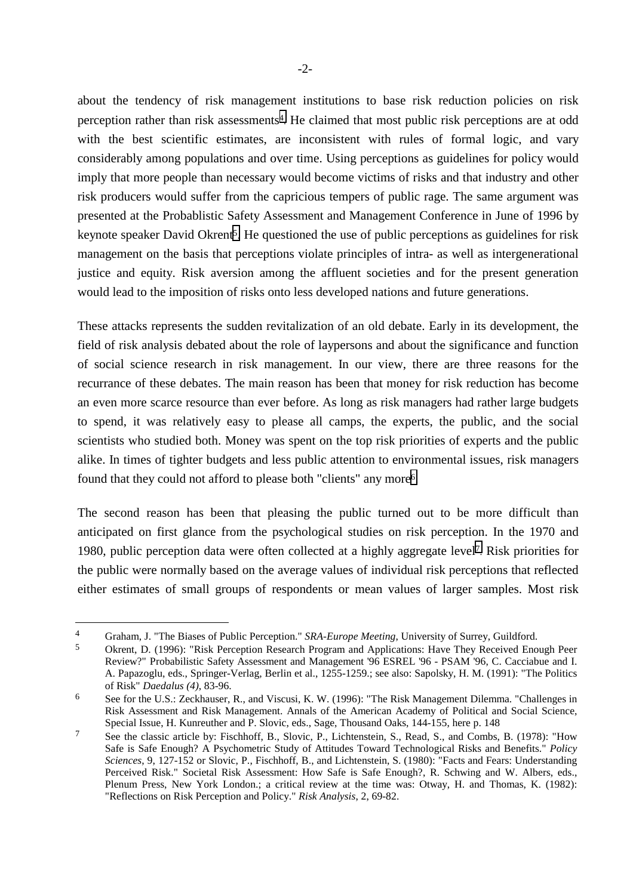about the tendency of risk management institutions to base risk reduction policies on risk perception rather than risk assessments4. He claimed that most public risk perceptions are at odd with the best scientific estimates, are inconsistent with rules of formal logic, and vary considerably among populations and over time. Using perceptions as guidelines for policy would imply that more people than necessary would become victims of risks and that industry and other risk producers would suffer from the capricious tempers of public rage. The same argument was presented at the Probablistic Safety Assessment and Management Conference in June of 1996 by keynote speaker David Okrent5. He questioned the use of public perceptions as guidelines for risk management on the basis that perceptions violate principles of intra- as well as intergenerational justice and equity. Risk aversion among the affluent societies and for the present generation would lead to the imposition of risks onto less developed nations and future generations.

These attacks represents the sudden revitalization of an old debate. Early in its development, the field of risk analysis debated about the role of laypersons and about the significance and function of social science research in risk management. In our view, there are three reasons for the recurrance of these debates. The main reason has been that money for risk reduction has become an even more scarce resource than ever before. As long as risk managers had rather large budgets to spend, it was relatively easy to please all camps, the experts, the public, and the social scientists who studied both. Money was spent on the top risk priorities of experts and the public alike. In times of tighter budgets and less public attention to environmental issues, risk managers found that they could not afford to please both "clients" any more6.

The second reason has been that pleasing the public turned out to be more difficult than anticipated on first glance from the psychological studies on risk perception. In the 1970 and 1980, public perception data were often collected at a highly aggregate level7. Risk priorities for the public were normally based on the average values of individual risk perceptions that reflected either estimates of small groups of respondents or mean values of larger samples. Most risk

<sup>4</sup> Graham, J. "The Biases of Public Perception." *SRA-Europe Meeting*, University of Surrey, Guildford.

<sup>5</sup> Okrent, D. (1996): "Risk Perception Research Program and Applications: Have They Received Enough Peer Review?" Probabilistic Safety Assessment and Management '96 ESREL '96 - PSAM '96, C. Cacciabue and I. A. Papazoglu, eds., Springer-Verlag, Berlin et al., 1255-1259.; see also: Sapolsky, H. M. (1991): "The Politics of Risk" *Daedalus (4)*, 83-96.

<sup>6</sup> See for the U.S.: Zeckhauser, R., and Viscusi, K. W. (1996): "The Risk Management Dilemma. "Challenges in Risk Assessment and Risk Management. Annals of the American Academy of Political and Social Science, Special Issue, H. Kunreuther and P. Slovic, eds., Sage, Thousand Oaks, 144-155, here p. 148

<sup>7</sup> See the classic article by: Fischhoff, B., Slovic, P., Lichtenstein, S., Read, S., and Combs, B. (1978): "How Safe is Safe Enough? A Psychometric Study of Attitudes Toward Technological Risks and Benefits." *Policy Sciences*, 9, 127-152 or Slovic, P., Fischhoff, B., and Lichtenstein, S. (1980): "Facts and Fears: Understanding Perceived Risk." Societal Risk Assessment: How Safe is Safe Enough?, R. Schwing and W. Albers, eds., Plenum Press, New York London.; a critical review at the time was: Otway, H. and Thomas, K. (1982): "Reflections on Risk Perception and Policy." *Risk Analysis*, 2, 69-82.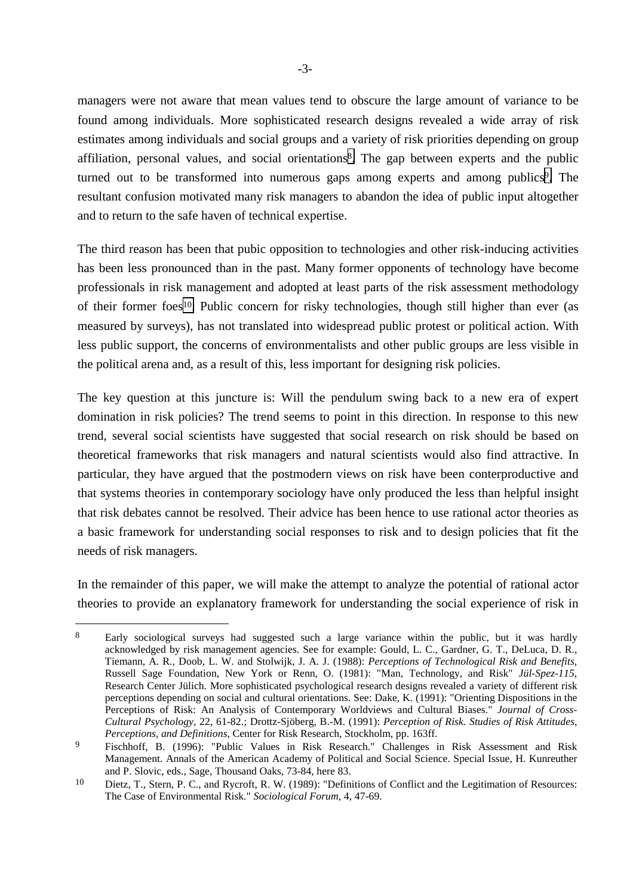managers were not aware that mean values tend to obscure the large amount of variance to be found among individuals. More sophisticated research designs revealed a wide array of risk estimates among individuals and social groups and a variety of risk priorities depending on group affiliation, personal values, and social orientations8. The gap between experts and the public turned out to be transformed into numerous gaps among experts and among publics<sup>9</sup>. The resultant confusion motivated many risk managers to abandon the idea of public input altogether and to return to the safe haven of technical expertise.

The third reason has been that pubic opposition to technologies and other risk-inducing activities has been less pronounced than in the past. Many former opponents of technology have become professionals in risk management and adopted at least parts of the risk assessment methodology of their former foes10. Public concern for risky technologies, though still higher than ever (as measured by surveys), has not translated into widespread public protest or political action. With less public support, the concerns of environmentalists and other public groups are less visible in the political arena and, as a result of this, less important for designing risk policies.

The key question at this juncture is: Will the pendulum swing back to a new era of expert domination in risk policies? The trend seems to point in this direction. In response to this new trend, several social scientists have suggested that social research on risk should be based on theoretical frameworks that risk managers and natural scientists would also find attractive. In particular, they have argued that the postmodern views on risk have been conterproductive and that systems theories in contemporary sociology have only produced the less than helpful insight that risk debates cannot be resolved. Their advice has been hence to use rational actor theories as a basic framework for understanding social responses to risk and to design policies that fit the needs of risk managers.

In the remainder of this paper, we will make the attempt to analyze the potential of rational actor theories to provide an explanatory framework for understanding the social experience of risk in

<sup>&</sup>lt;sup>8</sup> Early sociological surveys had suggested such a large variance within the public, but it was hardly acknowledged by risk management agencies. See for example: Gould, L. C., Gardner, G. T., DeLuca, D. R., Tiemann, A. R., Doob, L. W. and Stolwijk, J. A. J. (1988): *Perceptions of Technological Risk and Benefits*, Russell Sage Foundation, New York or Renn, O. (1981): "Man, Technology, and Risk" *Jül-Spez-115*, Research Center Jülich. More sophisticated psychological research designs revealed a variety of different risk perceptions depending on social and cultural orientations. See: Dake, K. (1991): "Orienting Dispositions in the Perceptions of Risk: An Analysis of Contemporary Worldviews and Cultural Biases." *Journal of Cross-Cultural Psychology*, 22, 61-82.; Drottz-Sjöberg, B.-M. (1991): *Perception of Risk. Studies of Risk Attitudes, Perceptions, and Definitions*, Center for Risk Research, Stockholm, pp. 163ff.

<sup>9</sup> Fischhoff, B. (1996): "Public Values in Risk Research." Challenges in Risk Assessment and Risk Management. Annals of the American Academy of Political and Social Science. Special Issue, H. Kunreuther and P. Slovic, eds., Sage, Thousand Oaks, 73-84, here 83.

<sup>10</sup> Dietz, T., Stern, P. C., and Rycroft, R. W. (1989): "Definitions of Conflict and the Legitimation of Resources: The Case of Environmental Risk." *Sociological Forum*, 4, 47-69.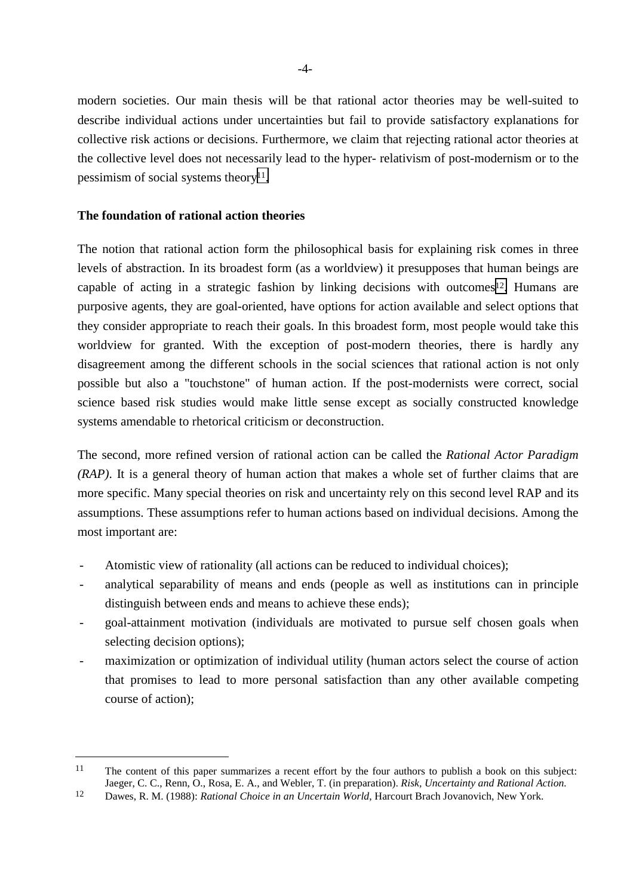modern societies. Our main thesis will be that rational actor theories may be well-suited to describe individual actions under uncertainties but fail to provide satisfactory explanations for collective risk actions or decisions. Furthermore, we claim that rejecting rational actor theories at the collective level does not necessarily lead to the hyper- relativism of post-modernism or to the pessimism of social systems theory11.

## **The foundation of rational action theories**

 $\overline{a}$ 

The notion that rational action form the philosophical basis for explaining risk comes in three levels of abstraction. In its broadest form (as a worldview) it presupposes that human beings are capable of acting in a strategic fashion by linking decisions with outcomes<sup>12</sup>. Humans are purposive agents, they are goal-oriented, have options for action available and select options that they consider appropriate to reach their goals. In this broadest form, most people would take this worldview for granted. With the exception of post-modern theories, there is hardly any disagreement among the different schools in the social sciences that rational action is not only possible but also a "touchstone" of human action. If the post-modernists were correct, social science based risk studies would make little sense except as socially constructed knowledge systems amendable to rhetorical criticism or deconstruction.

The second, more refined version of rational action can be called the *Rational Actor Paradigm (RAP)*. It is a general theory of human action that makes a whole set of further claims that are more specific. Many special theories on risk and uncertainty rely on this second level RAP and its assumptions. These assumptions refer to human actions based on individual decisions. Among the most important are:

- Atomistic view of rationality (all actions can be reduced to individual choices);
- analytical separability of means and ends (people as well as institutions can in principle distinguish between ends and means to achieve these ends);
- goal-attainment motivation (individuals are motivated to pursue self chosen goals when selecting decision options);
- maximization or optimization of individual utility (human actors select the course of action that promises to lead to more personal satisfaction than any other available competing course of action);

<sup>&</sup>lt;sup>11</sup> The content of this paper summarizes a recent effort by the four authors to publish a book on this subject: Jaeger, C. C., Renn, O., Rosa, E. A., and Webler, T. (in preparation). *Risk, Uncertainty and Rational Action.*

<sup>12</sup> Dawes, R. M. (1988): *Rational Choice in an Uncertain World*, Harcourt Brach Jovanovich, New York.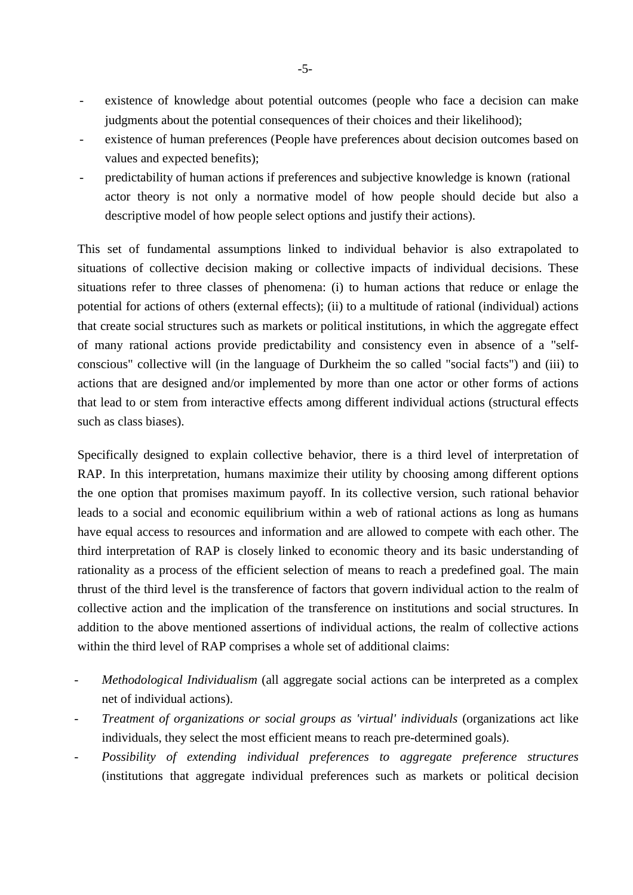- existence of knowledge about potential outcomes (people who face a decision can make judgments about the potential consequences of their choices and their likelihood);
- existence of human preferences (People have preferences about decision outcomes based on values and expected benefits);
- predictability of human actions if preferences and subjective knowledge is known (rational actor theory is not only a normative model of how people should decide but also a descriptive model of how people select options and justify their actions).

This set of fundamental assumptions linked to individual behavior is also extrapolated to situations of collective decision making or collective impacts of individual decisions. These situations refer to three classes of phenomena: (i) to human actions that reduce or enlage the potential for actions of others (external effects); (ii) to a multitude of rational (individual) actions that create social structures such as markets or political institutions, in which the aggregate effect of many rational actions provide predictability and consistency even in absence of a "selfconscious" collective will (in the language of Durkheim the so called "social facts") and (iii) to actions that are designed and/or implemented by more than one actor or other forms of actions that lead to or stem from interactive effects among different individual actions (structural effects such as class biases).

Specifically designed to explain collective behavior, there is a third level of interpretation of RAP. In this interpretation, humans maximize their utility by choosing among different options the one option that promises maximum payoff. In its collective version, such rational behavior leads to a social and economic equilibrium within a web of rational actions as long as humans have equal access to resources and information and are allowed to compete with each other. The third interpretation of RAP is closely linked to economic theory and its basic understanding of rationality as a process of the efficient selection of means to reach a predefined goal. The main thrust of the third level is the transference of factors that govern individual action to the realm of collective action and the implication of the transference on institutions and social structures. In addition to the above mentioned assertions of individual actions, the realm of collective actions within the third level of RAP comprises a whole set of additional claims:

- *Methodological Individualism* (all aggregate social actions can be interpreted as a complex net of individual actions).
- *Treatment of organizations or social groups as 'virtual' individuals* (organizations act like individuals, they select the most efficient means to reach pre-determined goals).
- Possibility of extending individual preferences to aggregate preference structures (institutions that aggregate individual preferences such as markets or political decision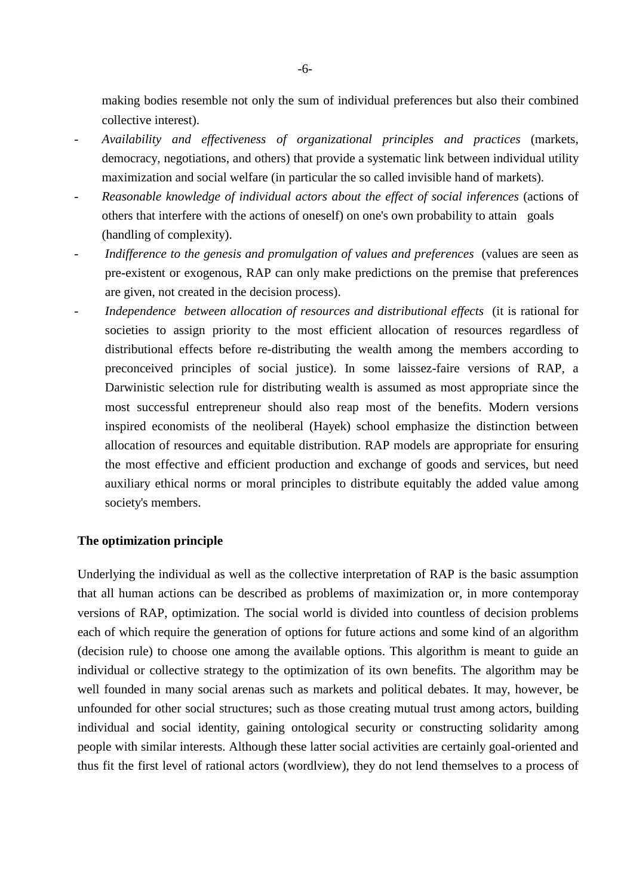making bodies resemble not only the sum of individual preferences but also their combined collective interest).

- *Availability and effectiveness of organizational principles and practices* (markets, democracy, negotiations, and others) that provide a systematic link between individual utility maximization and social welfare (in particular the so called invisible hand of markets).
- *Reasonable knowledge of individual actors about the effect of social inferences* (actions of others that interfere with the actions of oneself) on one's own probability to attain goals (handling of complexity).
- Indifference to the genesis and promulgation of values and preferences (values are seen as pre-existent or exogenous, RAP can only make predictions on the premise that preferences are given, not created in the decision process).
- *Independence between allocation of resources and distributional effects* (it is rational for societies to assign priority to the most efficient allocation of resources regardless of distributional effects before re-distributing the wealth among the members according to preconceived principles of social justice). In some laissez-faire versions of RAP, a Darwinistic selection rule for distributing wealth is assumed as most appropriate since the most successful entrepreneur should also reap most of the benefits. Modern versions inspired economists of the neoliberal (Hayek) school emphasize the distinction between allocation of resources and equitable distribution. RAP models are appropriate for ensuring the most effective and efficient production and exchange of goods and services, but need auxiliary ethical norms or moral principles to distribute equitably the added value among society's members.

## **The optimization principle**

Underlying the individual as well as the collective interpretation of RAP is the basic assumption that all human actions can be described as problems of maximization or, in more contemporay versions of RAP, optimization. The social world is divided into countless of decision problems each of which require the generation of options for future actions and some kind of an algorithm (decision rule) to choose one among the available options. This algorithm is meant to guide an individual or collective strategy to the optimization of its own benefits. The algorithm may be well founded in many social arenas such as markets and political debates. It may, however, be unfounded for other social structures; such as those creating mutual trust among actors, building individual and social identity, gaining ontological security or constructing solidarity among people with similar interests. Although these latter social activities are certainly goal-oriented and thus fit the first level of rational actors (wordlview), they do not lend themselves to a process of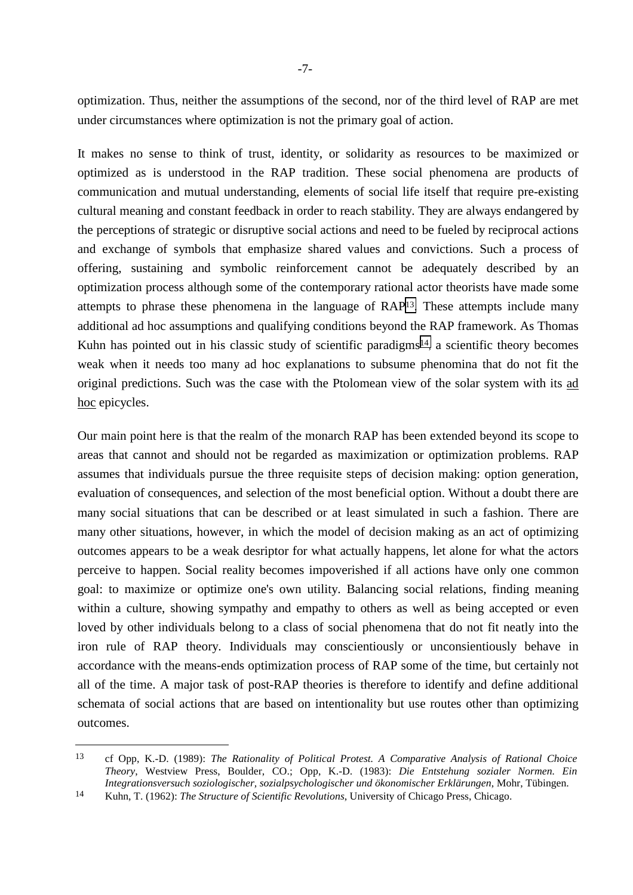optimization. Thus, neither the assumptions of the second, nor of the third level of RAP are met under circumstances where optimization is not the primary goal of action.

It makes no sense to think of trust, identity, or solidarity as resources to be maximized or optimized as is understood in the RAP tradition. These social phenomena are products of communication and mutual understanding, elements of social life itself that require pre-existing cultural meaning and constant feedback in order to reach stability. They are always endangered by the perceptions of strategic or disruptive social actions and need to be fueled by reciprocal actions and exchange of symbols that emphasize shared values and convictions. Such a process of offering, sustaining and symbolic reinforcement cannot be adequately described by an optimization process although some of the contemporary rational actor theorists have made some attempts to phrase these phenomena in the language of RAP13. These attempts include many additional ad hoc assumptions and qualifying conditions beyond the RAP framework. As Thomas Kuhn has pointed out in his classic study of scientific paradigms<sup>14</sup>, a scientific theory becomes weak when it needs too many ad hoc explanations to subsume phenomina that do not fit the original predictions. Such was the case with the Ptolomean view of the solar system with its ad hoc epicycles.

Our main point here is that the realm of the monarch RAP has been extended beyond its scope to areas that cannot and should not be regarded as maximization or optimization problems. RAP assumes that individuals pursue the three requisite steps of decision making: option generation, evaluation of consequences, and selection of the most beneficial option. Without a doubt there are many social situations that can be described or at least simulated in such a fashion. There are many other situations, however, in which the model of decision making as an act of optimizing outcomes appears to be a weak desriptor for what actually happens, let alone for what the actors perceive to happen. Social reality becomes impoverished if all actions have only one common goal: to maximize or optimize one's own utility. Balancing social relations, finding meaning within a culture, showing sympathy and empathy to others as well as being accepted or even loved by other individuals belong to a class of social phenomena that do not fit neatly into the iron rule of RAP theory. Individuals may conscientiously or unconsientiously behave in accordance with the means-ends optimization process of RAP some of the time, but certainly not all of the time. A major task of post-RAP theories is therefore to identify and define additional schemata of social actions that are based on intentionality but use routes other than optimizing outcomes.

<sup>13</sup> cf Opp, K.-D. (1989): *The Rationality of Political Protest. A Comparative Analysis of Rational Choice Theory*, Westview Press, Boulder, CO.; Opp, K.-D. (1983): *Die Entstehung sozialer Normen. Ein Integrationsversuch soziologischer, sozialpsychologischer und ökonomischer Erklärungen*, Mohr, Tübingen.

<sup>14</sup> Kuhn, T. (1962): *The Structure of Scientific Revolutions*, University of Chicago Press, Chicago.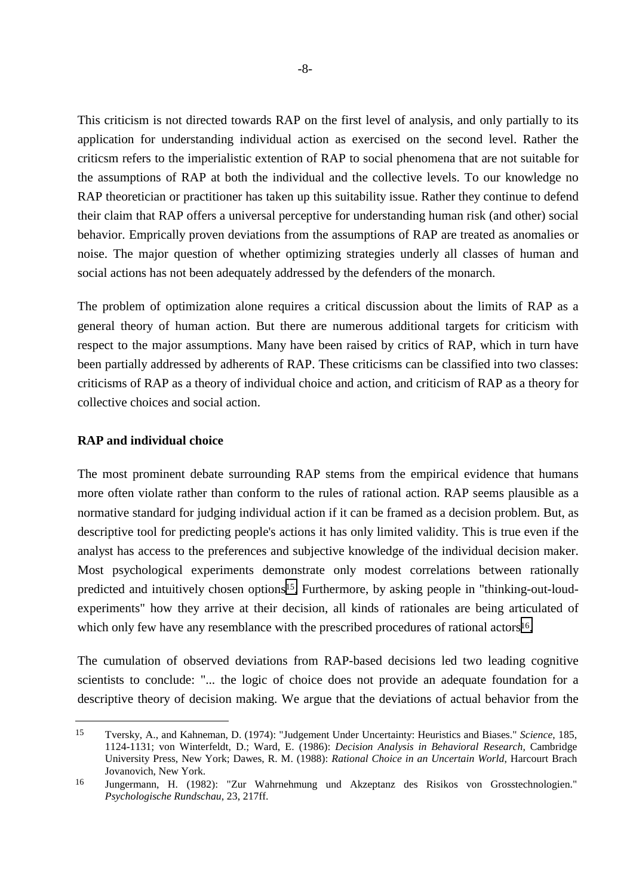This criticism is not directed towards RAP on the first level of analysis, and only partially to its application for understanding individual action as exercised on the second level. Rather the criticsm refers to the imperialistic extention of RAP to social phenomena that are not suitable for the assumptions of RAP at both the individual and the collective levels. To our knowledge no RAP theoretician or practitioner has taken up this suitability issue. Rather they continue to defend their claim that RAP offers a universal perceptive for understanding human risk (and other) social behavior. Emprically proven deviations from the assumptions of RAP are treated as anomalies or noise. The major question of whether optimizing strategies underly all classes of human and social actions has not been adequately addressed by the defenders of the monarch.

The problem of optimization alone requires a critical discussion about the limits of RAP as a general theory of human action. But there are numerous additional targets for criticism with respect to the major assumptions. Many have been raised by critics of RAP, which in turn have been partially addressed by adherents of RAP. These criticisms can be classified into two classes: criticisms of RAP as a theory of individual choice and action, and criticism of RAP as a theory for collective choices and social action.

## **RAP and individual choice**

 $\overline{a}$ 

The most prominent debate surrounding RAP stems from the empirical evidence that humans more often violate rather than conform to the rules of rational action. RAP seems plausible as a normative standard for judging individual action if it can be framed as a decision problem. But, as descriptive tool for predicting people's actions it has only limited validity. This is true even if the analyst has access to the preferences and subjective knowledge of the individual decision maker. Most psychological experiments demonstrate only modest correlations between rationally predicted and intuitively chosen options15. Furthermore, by asking people in "thinking-out-loudexperiments" how they arrive at their decision, all kinds of rationales are being articulated of which only few have any resemblance with the prescribed procedures of rational actors<sup>16</sup>.

The cumulation of observed deviations from RAP-based decisions led two leading cognitive scientists to conclude: "... the logic of choice does not provide an adequate foundation for a descriptive theory of decision making. We argue that the deviations of actual behavior from the

<sup>15</sup> Tversky, A., and Kahneman, D. (1974): "Judgement Under Uncertainty: Heuristics and Biases." *Science*, 185, 1124-1131; von Winterfeldt, D.; Ward, E. (1986): *Decision Analysis in Behavioral Research*, Cambridge University Press, New York; Dawes, R. M. (1988): *Rational Choice in an Uncertain World*, Harcourt Brach Jovanovich, New York.

<sup>16</sup> Jungermann, H. (1982): "Zur Wahrnehmung und Akzeptanz des Risikos von Grosstechnologien." *Psychologische Rundschau*, 23, 217ff.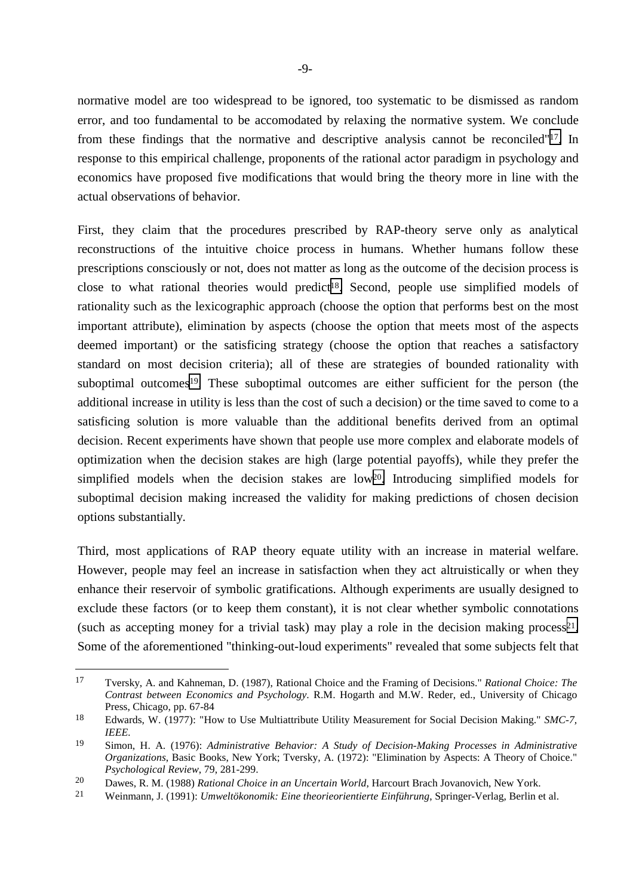normative model are too widespread to be ignored, too systematic to be dismissed as random error, and too fundamental to be accomodated by relaxing the normative system. We conclude from these findings that the normative and descriptive analysis cannot be reconciled"17. In response to this empirical challenge, proponents of the rational actor paradigm in psychology and economics have proposed five modifications that would bring the theory more in line with the actual observations of behavior.

First, they claim that the procedures prescribed by RAP-theory serve only as analytical reconstructions of the intuitive choice process in humans. Whether humans follow these prescriptions consciously or not, does not matter as long as the outcome of the decision process is close to what rational theories would predict<sup>18</sup>. Second, people use simplified models of rationality such as the lexicographic approach (choose the option that performs best on the most important attribute), elimination by aspects (choose the option that meets most of the aspects deemed important) or the satisficing strategy (choose the option that reaches a satisfactory standard on most decision criteria); all of these are strategies of bounded rationality with suboptimal outcomes<sup>19</sup>. These suboptimal outcomes are either sufficient for the person (the additional increase in utility is less than the cost of such a decision) or the time saved to come to a satisficing solution is more valuable than the additional benefits derived from an optimal decision. Recent experiments have shown that people use more complex and elaborate models of optimization when the decision stakes are high (large potential payoffs), while they prefer the simplified models when the decision stakes are low<sup>20</sup>. Introducing simplified models for suboptimal decision making increased the validity for making predictions of chosen decision options substantially.

Third, most applications of RAP theory equate utility with an increase in material welfare. However, people may feel an increase in satisfaction when they act altruistically or when they enhance their reservoir of symbolic gratifications. Although experiments are usually designed to exclude these factors (or to keep them constant), it is not clear whether symbolic connotations (such as accepting money for a trivial task) may play a role in the decision making process<sup>21</sup>. Some of the aforementioned "thinking-out-loud experiments" revealed that some subjects felt that

<sup>17</sup> Tversky, A. and Kahneman, D. (1987), Rational Choice and the Framing of Decisions." *Rational Choice: The Contrast between Economics and Psychology*. R.M. Hogarth and M.W. Reder, ed., University of Chicago Press, Chicago, pp. 67-84

<sup>18</sup> Edwards, W. (1977): "How to Use Multiattribute Utility Measurement for Social Decision Making." *SMC-7, IEEE.*

<sup>19</sup> Simon, H. A. (1976): *Administrative Behavior: A Study of Decision-Making Processes in Administrative Organizations*, Basic Books, New York; Tversky, A. (1972): "Elimination by Aspects: A Theory of Choice." *Psychological Review*, 79, 281-299.

<sup>20</sup> Dawes, R. M. (1988) *Rational Choice in an Uncertain World*, Harcourt Brach Jovanovich, New York.

<sup>21</sup> Weinmann, J. (1991): *Umweltökonomik: Eine theorieorientierte Einführung*, Springer-Verlag, Berlin et al.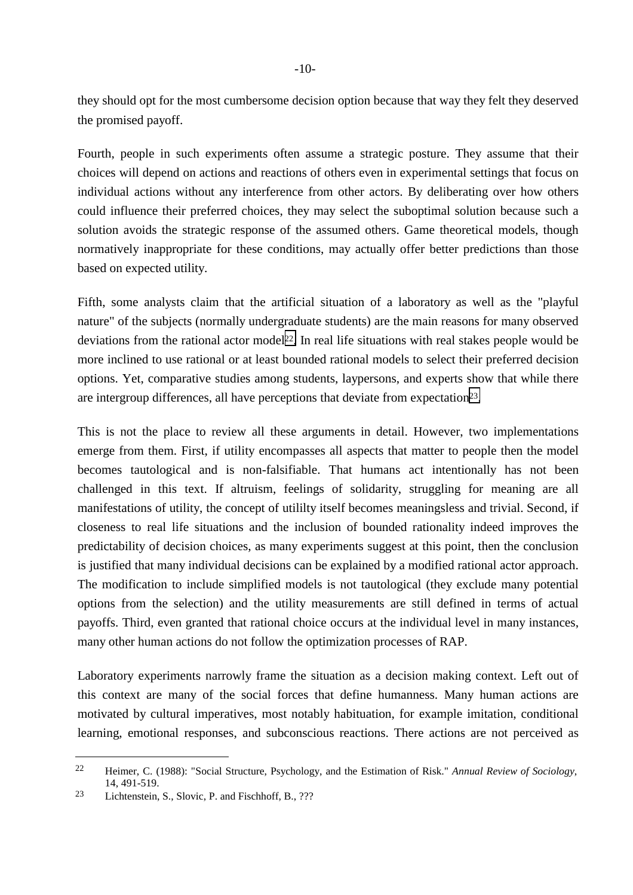Fourth, people in such experiments often assume a strategic posture. They assume that their choices will depend on actions and reactions of others even in experimental settings that focus on individual actions without any interference from other actors. By deliberating over how others could influence their preferred choices, they may select the suboptimal solution because such a solution avoids the strategic response of the assumed others. Game theoretical models, though normatively inappropriate for these conditions, may actually offer better predictions than those based on expected utility.

Fifth, some analysts claim that the artificial situation of a laboratory as well as the "playful nature" of the subjects (normally undergraduate students) are the main reasons for many observed deviations from the rational actor model<sup>22</sup>. In real life situations with real stakes people would be more inclined to use rational or at least bounded rational models to select their preferred decision options. Yet, comparative studies among students, laypersons, and experts show that while there are intergroup differences, all have perceptions that deviate from expectation23.

This is not the place to review all these arguments in detail. However, two implementations emerge from them. First, if utility encompasses all aspects that matter to people then the model becomes tautological and is non-falsifiable. That humans act intentionally has not been challenged in this text. If altruism, feelings of solidarity, struggling for meaning are all manifestations of utility, the concept of utililty itself becomes meaningsless and trivial. Second, if closeness to real life situations and the inclusion of bounded rationality indeed improves the predictability of decision choices, as many experiments suggest at this point, then the conclusion is justified that many individual decisions can be explained by a modified rational actor approach. The modification to include simplified models is not tautological (they exclude many potential options from the selection) and the utility measurements are still defined in terms of actual payoffs. Third, even granted that rational choice occurs at the individual level in many instances, many other human actions do not follow the optimization processes of RAP.

Laboratory experiments narrowly frame the situation as a decision making context. Left out of this context are many of the social forces that define humanness. Many human actions are motivated by cultural imperatives, most notably habituation, for example imitation, conditional learning, emotional responses, and subconscious reactions. There actions are not perceived as

<sup>22</sup> Heimer, C. (1988): "Social Structure, Psychology, and the Estimation of Risk." *Annual Review of Sociology*, 14, 491-519.

<sup>23</sup> Lichtenstein, S., Slovic, P. and Fischhoff, B., ???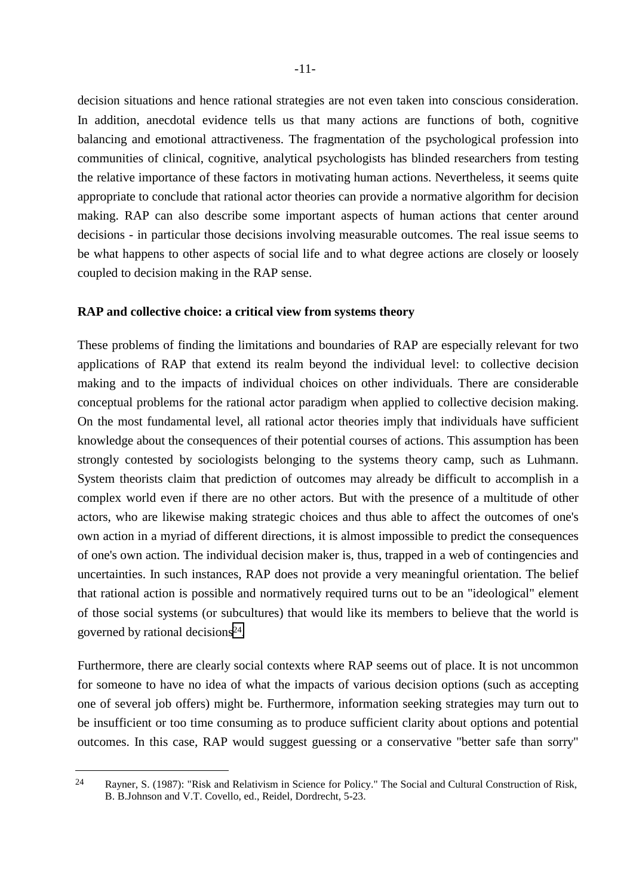decision situations and hence rational strategies are not even taken into conscious consideration. In addition, anecdotal evidence tells us that many actions are functions of both, cognitive balancing and emotional attractiveness. The fragmentation of the psychological profession into communities of clinical, cognitive, analytical psychologists has blinded researchers from testing the relative importance of these factors in motivating human actions. Nevertheless, it seems quite appropriate to conclude that rational actor theories can provide a normative algorithm for decision making. RAP can also describe some important aspects of human actions that center around decisions - in particular those decisions involving measurable outcomes. The real issue seems to be what happens to other aspects of social life and to what degree actions are closely or loosely coupled to decision making in the RAP sense.

#### **RAP and collective choice: a critical view from systems theory**

These problems of finding the limitations and boundaries of RAP are especially relevant for two applications of RAP that extend its realm beyond the individual level: to collective decision making and to the impacts of individual choices on other individuals. There are considerable conceptual problems for the rational actor paradigm when applied to collective decision making. On the most fundamental level, all rational actor theories imply that individuals have sufficient knowledge about the consequences of their potential courses of actions. This assumption has been strongly contested by sociologists belonging to the systems theory camp, such as Luhmann. System theorists claim that prediction of outcomes may already be difficult to accomplish in a complex world even if there are no other actors. But with the presence of a multitude of other actors, who are likewise making strategic choices and thus able to affect the outcomes of one's own action in a myriad of different directions, it is almost impossible to predict the consequences of one's own action. The individual decision maker is, thus, trapped in a web of contingencies and uncertainties. In such instances, RAP does not provide a very meaningful orientation. The belief that rational action is possible and normatively required turns out to be an "ideological" element of those social systems (or subcultures) that would like its members to believe that the world is governed by rational decisions24.

Furthermore, there are clearly social contexts where RAP seems out of place. It is not uncommon for someone to have no idea of what the impacts of various decision options (such as accepting one of several job offers) might be. Furthermore, information seeking strategies may turn out to be insufficient or too time consuming as to produce sufficient clarity about options and potential outcomes. In this case, RAP would suggest guessing or a conservative "better safe than sorry"

<sup>24</sup> Rayner, S. (1987): "Risk and Relativism in Science for Policy." The Social and Cultural Construction of Risk, B. B.Johnson and V.T. Covello, ed., Reidel, Dordrecht, 5-23.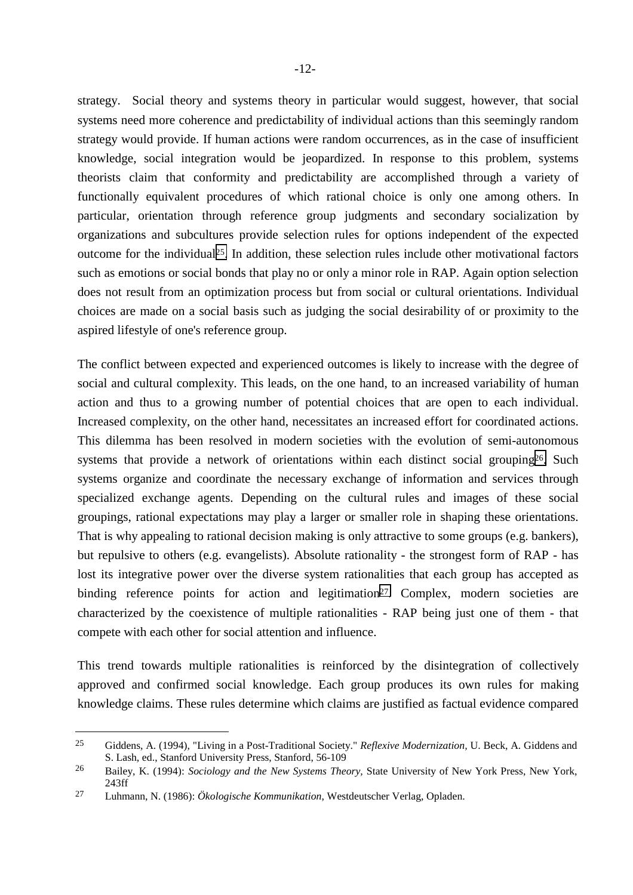strategy. Social theory and systems theory in particular would suggest, however, that social systems need more coherence and predictability of individual actions than this seemingly random strategy would provide. If human actions were random occurrences, as in the case of insufficient knowledge, social integration would be jeopardized. In response to this problem, systems theorists claim that conformity and predictability are accomplished through a variety of functionally equivalent procedures of which rational choice is only one among others. In particular, orientation through reference group judgments and secondary socialization by organizations and subcultures provide selection rules for options independent of the expected outcome for the individual25. In addition, these selection rules include other motivational factors such as emotions or social bonds that play no or only a minor role in RAP. Again option selection does not result from an optimization process but from social or cultural orientations. Individual choices are made on a social basis such as judging the social desirability of or proximity to the aspired lifestyle of one's reference group.

The conflict between expected and experienced outcomes is likely to increase with the degree of social and cultural complexity. This leads, on the one hand, to an increased variability of human action and thus to a growing number of potential choices that are open to each individual. Increased complexity, on the other hand, necessitates an increased effort for coordinated actions. This dilemma has been resolved in modern societies with the evolution of semi-autonomous systems that provide a network of orientations within each distinct social grouping<sup>26</sup>. Such systems organize and coordinate the necessary exchange of information and services through specialized exchange agents. Depending on the cultural rules and images of these social groupings, rational expectations may play a larger or smaller role in shaping these orientations. That is why appealing to rational decision making is only attractive to some groups (e.g. bankers), but repulsive to others (e.g. evangelists). Absolute rationality - the strongest form of RAP - has lost its integrative power over the diverse system rationalities that each group has accepted as binding reference points for action and legitimation<sup>27</sup>. Complex, modern societies are characterized by the coexistence of multiple rationalities - RAP being just one of them - that compete with each other for social attention and influence.

This trend towards multiple rationalities is reinforced by the disintegration of collectively approved and confirmed social knowledge. Each group produces its own rules for making knowledge claims. These rules determine which claims are justified as factual evidence compared

<sup>25</sup> Giddens, A. (1994), "Living in a Post-Traditional Society." *Reflexive Modernization,* U. Beck, A. Giddens and S. Lash, ed., Stanford University Press, Stanford, 56-109

<sup>26</sup> Bailey, K. (1994): *Sociology and the New Systems Theory,* State University of New York Press, New York, 243ff

<sup>27</sup> Luhmann, N. (1986): *Ökologische Kommunikation*, Westdeutscher Verlag, Opladen.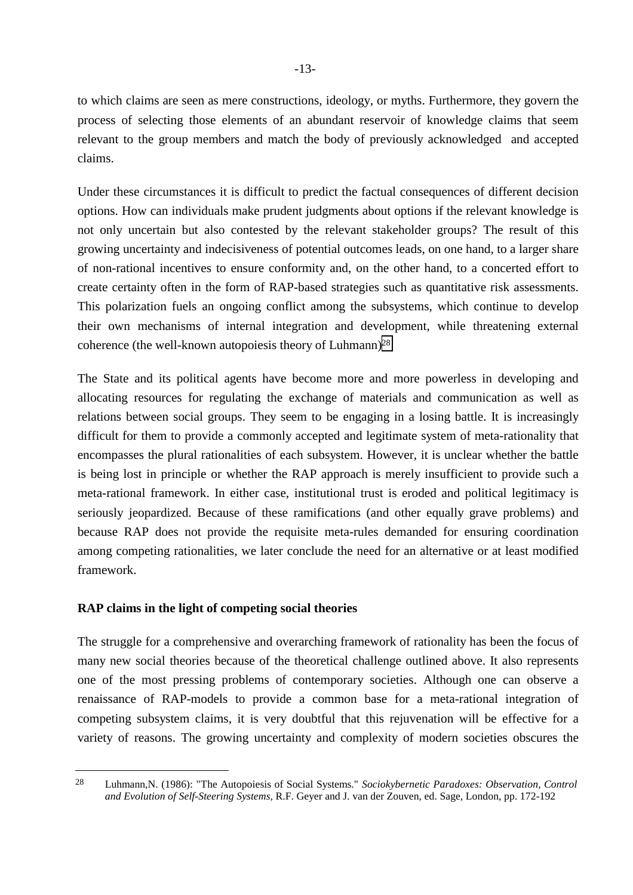to which claims are seen as mere constructions, ideology, or myths. Furthermore, they govern the process of selecting those elements of an abundant reservoir of knowledge claims that seem relevant to the group members and match the body of previously acknowledged and accepted claims.

Under these circumstances it is difficult to predict the factual consequences of different decision options. How can individuals make prudent judgments about options if the relevant knowledge is not only uncertain but also contested by the relevant stakeholder groups? The result of this growing uncertainty and indecisiveness of potential outcomes leads, on one hand, to a larger share of non-rational incentives to ensure conformity and, on the other hand, to a concerted effort to create certainty often in the form of RAP-based strategies such as quantitative risk assessments. This polarization fuels an ongoing conflict among the subsystems, which continue to develop their own mechanisms of internal integration and development, while threatening external coherence (the well-known autopoiesis theory of Luhmann)<sup>28</sup>

The State and its political agents have become more and more powerless in developing and allocating resources for regulating the exchange of materials and communication as well as relations between social groups. They seem to be engaging in a losing battle. It is increasingly difficult for them to provide a commonly accepted and legitimate system of meta-rationality that encompasses the plural rationalities of each subsystem. However, it is unclear whether the battle is being lost in principle or whether the RAP approach is merely insufficient to provide such a meta-rational framework. In either case, institutional trust is eroded and political legitimacy is seriously jeopardized. Because of these ramifications (and other equally grave problems) and because RAP does not provide the requisite meta-rules demanded for ensuring coordination among competing rationalities, we later conclude the need for an alternative or at least modified framework.

## **RAP claims in the light of competing social theories**

 $\overline{a}$ 

The struggle for a comprehensive and overarching framework of rationality has been the focus of many new social theories because of the theoretical challenge outlined above. It also represents one of the most pressing problems of contemporary societies. Although one can observe a renaissance of RAP-models to provide a common base for a meta-rational integration of competing subsystem claims, it is very doubtful that this rejuvenation will be effective for a variety of reasons. The growing uncertainty and complexity of modern societies obscures the

<sup>28</sup> Luhmann,N. (1986): "The Autopoiesis of Social Systems." *Sociokybernetic Paradoxes: Observation, Control and Evolution of Self-Steering Systems,* R.F. Geyer and J. van der Zouven, ed. Sage, London, pp. 172-192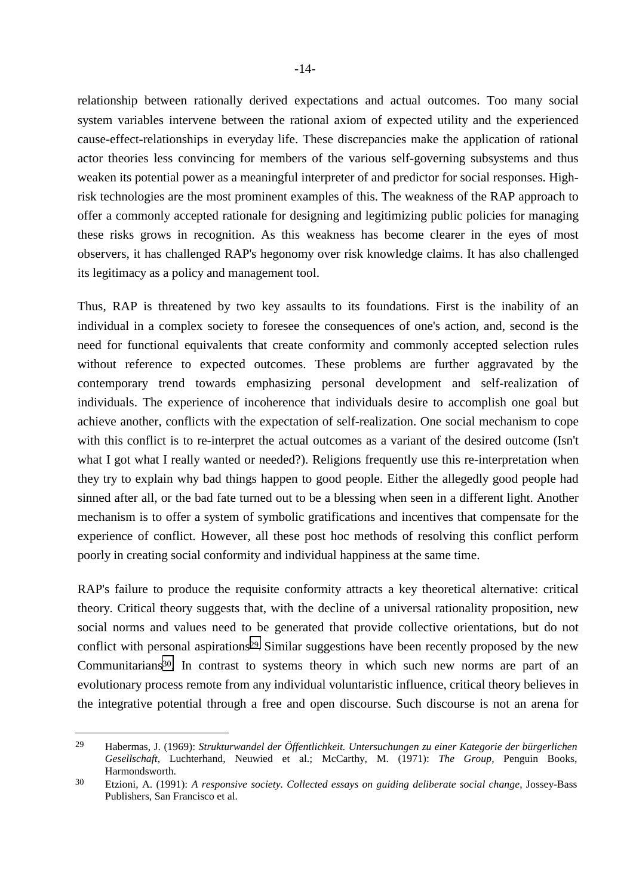relationship between rationally derived expectations and actual outcomes. Too many social system variables intervene between the rational axiom of expected utility and the experienced cause-effect-relationships in everyday life. These discrepancies make the application of rational actor theories less convincing for members of the various self-governing subsystems and thus weaken its potential power as a meaningful interpreter of and predictor for social responses. Highrisk technologies are the most prominent examples of this. The weakness of the RAP approach to offer a commonly accepted rationale for designing and legitimizing public policies for managing these risks grows in recognition. As this weakness has become clearer in the eyes of most observers, it has challenged RAP's hegonomy over risk knowledge claims. It has also challenged its legitimacy as a policy and management tool.

Thus, RAP is threatened by two key assaults to its foundations. First is the inability of an individual in a complex society to foresee the consequences of one's action, and, second is the need for functional equivalents that create conformity and commonly accepted selection rules without reference to expected outcomes. These problems are further aggravated by the contemporary trend towards emphasizing personal development and self-realization of individuals. The experience of incoherence that individuals desire to accomplish one goal but achieve another, conflicts with the expectation of self-realization. One social mechanism to cope with this conflict is to re-interpret the actual outcomes as a variant of the desired outcome (Isn't what I got what I really wanted or needed?). Religions frequently use this re-interpretation when they try to explain why bad things happen to good people. Either the allegedly good people had sinned after all, or the bad fate turned out to be a blessing when seen in a different light. Another mechanism is to offer a system of symbolic gratifications and incentives that compensate for the experience of conflict. However, all these post hoc methods of resolving this conflict perform poorly in creating social conformity and individual happiness at the same time.

RAP's failure to produce the requisite conformity attracts a key theoretical alternative: critical theory. Critical theory suggests that, with the decline of a universal rationality proposition, new social norms and values need to be generated that provide collective orientations, but do not conflict with personal aspirations<sup>29</sup>. Similar suggestions have been recently proposed by the new Communitarians<sup>30</sup>. In contrast to systems theory in which such new norms are part of an evolutionary process remote from any individual voluntaristic influence, critical theory believes in the integrative potential through a free and open discourse. Such discourse is not an arena for

<sup>29</sup> Habermas, J. (1969): *Strukturwandel der Öffentlichkeit. Untersuchungen zu einer Kategorie der bürgerlichen Gesellschaft*, Luchterhand, Neuwied et al.; McCarthy, M. (1971): *The Group*, Penguin Books, Harmondsworth.

<sup>30</sup> Etzioni, A. (1991): *A responsive society. Collected essays on guiding deliberate social change*, Jossey-Bass Publishers, San Francisco et al.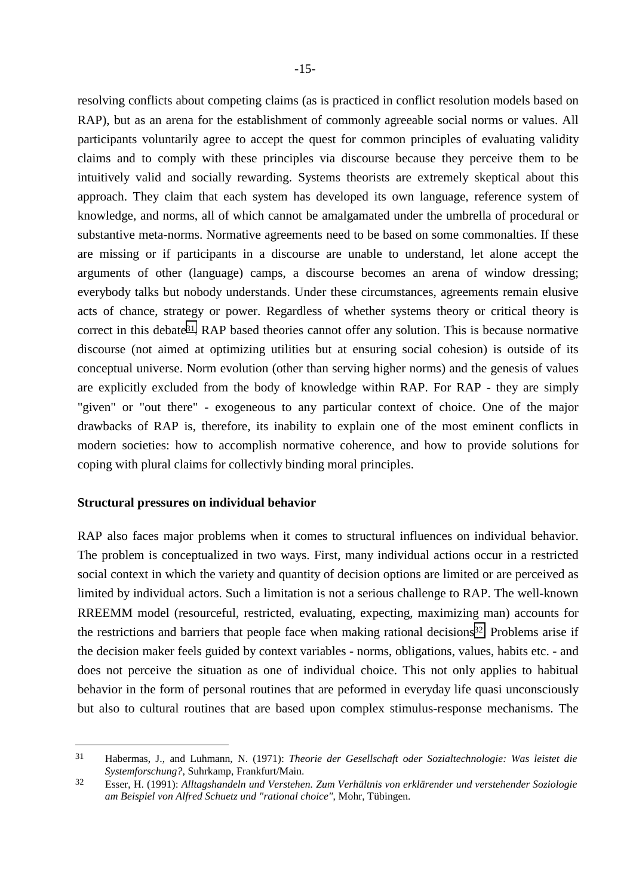resolving conflicts about competing claims (as is practiced in conflict resolution models based on RAP), but as an arena for the establishment of commonly agreeable social norms or values. All participants voluntarily agree to accept the quest for common principles of evaluating validity claims and to comply with these principles via discourse because they perceive them to be intuitively valid and socially rewarding. Systems theorists are extremely skeptical about this approach. They claim that each system has developed its own language, reference system of knowledge, and norms, all of which cannot be amalgamated under the umbrella of procedural or substantive meta-norms. Normative agreements need to be based on some commonalties. If these are missing or if participants in a discourse are unable to understand, let alone accept the arguments of other (language) camps, a discourse becomes an arena of window dressing; everybody talks but nobody understands. Under these circumstances, agreements remain elusive acts of chance, strategy or power. Regardless of whether systems theory or critical theory is correct in this debate<sup>31</sup>, RAP based theories cannot offer any solution. This is because normative discourse (not aimed at optimizing utilities but at ensuring social cohesion) is outside of its conceptual universe. Norm evolution (other than serving higher norms) and the genesis of values are explicitly excluded from the body of knowledge within RAP. For RAP - they are simply "given" or "out there" - exogeneous to any particular context of choice. One of the major drawbacks of RAP is, therefore, its inability to explain one of the most eminent conflicts in modern societies: how to accomplish normative coherence, and how to provide solutions for coping with plural claims for collectivly binding moral principles.

#### **Structural pressures on individual behavior**

 $\overline{a}$ 

RAP also faces major problems when it comes to structural influences on individual behavior. The problem is conceptualized in two ways. First, many individual actions occur in a restricted social context in which the variety and quantity of decision options are limited or are perceived as limited by individual actors. Such a limitation is not a serious challenge to RAP. The well-known RREEMM model (resourceful, restricted, evaluating, expecting, maximizing man) accounts for the restrictions and barriers that people face when making rational decisions32. Problems arise if the decision maker feels guided by context variables - norms, obligations, values, habits etc. - and does not perceive the situation as one of individual choice. This not only applies to habitual behavior in the form of personal routines that are peformed in everyday life quasi unconsciously but also to cultural routines that are based upon complex stimulus-response mechanisms. The

<sup>31</sup> Habermas, J., and Luhmann, N. (1971): *Theorie der Gesellschaft oder Sozialtechnologie: Was leistet die Systemforschung?*, Suhrkamp, Frankfurt/Main.

<sup>32</sup> Esser, H. (1991): *Alltagshandeln und Verstehen. Zum Verhältnis von erklärender und verstehender Soziologie am Beispiel von Alfred Schuetz und "rational choice"*, Mohr, Tübingen.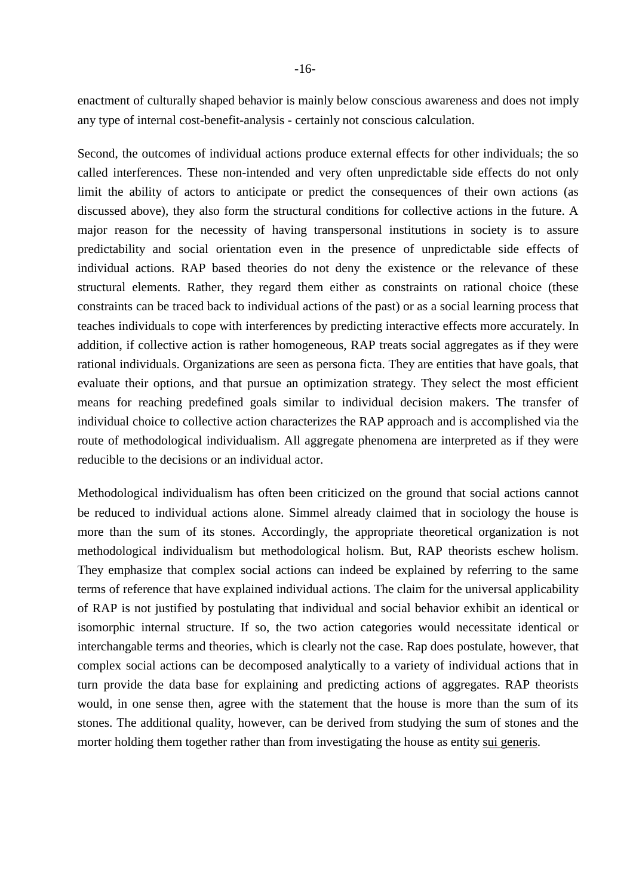enactment of culturally shaped behavior is mainly below conscious awareness and does not imply any type of internal cost-benefit-analysis - certainly not conscious calculation.

Second, the outcomes of individual actions produce external effects for other individuals; the so called interferences. These non-intended and very often unpredictable side effects do not only limit the ability of actors to anticipate or predict the consequences of their own actions (as discussed above), they also form the structural conditions for collective actions in the future. A major reason for the necessity of having transpersonal institutions in society is to assure predictability and social orientation even in the presence of unpredictable side effects of individual actions. RAP based theories do not deny the existence or the relevance of these structural elements. Rather, they regard them either as constraints on rational choice (these constraints can be traced back to individual actions of the past) or as a social learning process that teaches individuals to cope with interferences by predicting interactive effects more accurately. In addition, if collective action is rather homogeneous, RAP treats social aggregates as if they were rational individuals. Organizations are seen as persona ficta. They are entities that have goals, that evaluate their options, and that pursue an optimization strategy. They select the most efficient means for reaching predefined goals similar to individual decision makers. The transfer of individual choice to collective action characterizes the RAP approach and is accomplished via the route of methodological individualism. All aggregate phenomena are interpreted as if they were reducible to the decisions or an individual actor.

Methodological individualism has often been criticized on the ground that social actions cannot be reduced to individual actions alone. Simmel already claimed that in sociology the house is more than the sum of its stones. Accordingly, the appropriate theoretical organization is not methodological individualism but methodological holism. But, RAP theorists eschew holism. They emphasize that complex social actions can indeed be explained by referring to the same terms of reference that have explained individual actions. The claim for the universal applicability of RAP is not justified by postulating that individual and social behavior exhibit an identical or isomorphic internal structure. If so, the two action categories would necessitate identical or interchangable terms and theories, which is clearly not the case. Rap does postulate, however, that complex social actions can be decomposed analytically to a variety of individual actions that in turn provide the data base for explaining and predicting actions of aggregates. RAP theorists would, in one sense then, agree with the statement that the house is more than the sum of its stones. The additional quality, however, can be derived from studying the sum of stones and the morter holding them together rather than from investigating the house as entity sui generis.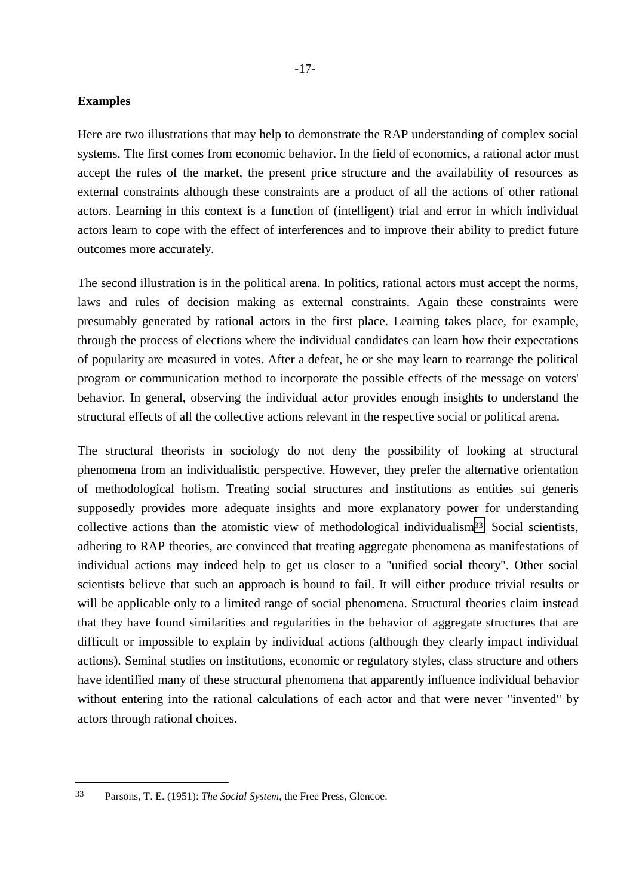#### **Examples**

Here are two illustrations that may help to demonstrate the RAP understanding of complex social systems. The first comes from economic behavior. In the field of economics, a rational actor must accept the rules of the market, the present price structure and the availability of resources as external constraints although these constraints are a product of all the actions of other rational actors. Learning in this context is a function of (intelligent) trial and error in which individual actors learn to cope with the effect of interferences and to improve their ability to predict future outcomes more accurately.

The second illustration is in the political arena. In politics, rational actors must accept the norms, laws and rules of decision making as external constraints. Again these constraints were presumably generated by rational actors in the first place. Learning takes place, for example, through the process of elections where the individual candidates can learn how their expectations of popularity are measured in votes. After a defeat, he or she may learn to rearrange the political program or communication method to incorporate the possible effects of the message on voters' behavior. In general, observing the individual actor provides enough insights to understand the structural effects of all the collective actions relevant in the respective social or political arena.

The structural theorists in sociology do not deny the possibility of looking at structural phenomena from an individualistic perspective. However, they prefer the alternative orientation of methodological holism. Treating social structures and institutions as entities sui generis supposedly provides more adequate insights and more explanatory power for understanding collective actions than the atomistic view of methodological individualism<sup>33</sup>. Social scientists, adhering to RAP theories, are convinced that treating aggregate phenomena as manifestations of individual actions may indeed help to get us closer to a "unified social theory". Other social scientists believe that such an approach is bound to fail. It will either produce trivial results or will be applicable only to a limited range of social phenomena. Structural theories claim instead that they have found similarities and regularities in the behavior of aggregate structures that are difficult or impossible to explain by individual actions (although they clearly impact individual actions). Seminal studies on institutions, economic or regulatory styles, class structure and others have identified many of these structural phenomena that apparently influence individual behavior without entering into the rational calculations of each actor and that were never "invented" by actors through rational choices.

<sup>33</sup> Parsons, T. E. (1951): *The Social System*, the Free Press, Glencoe.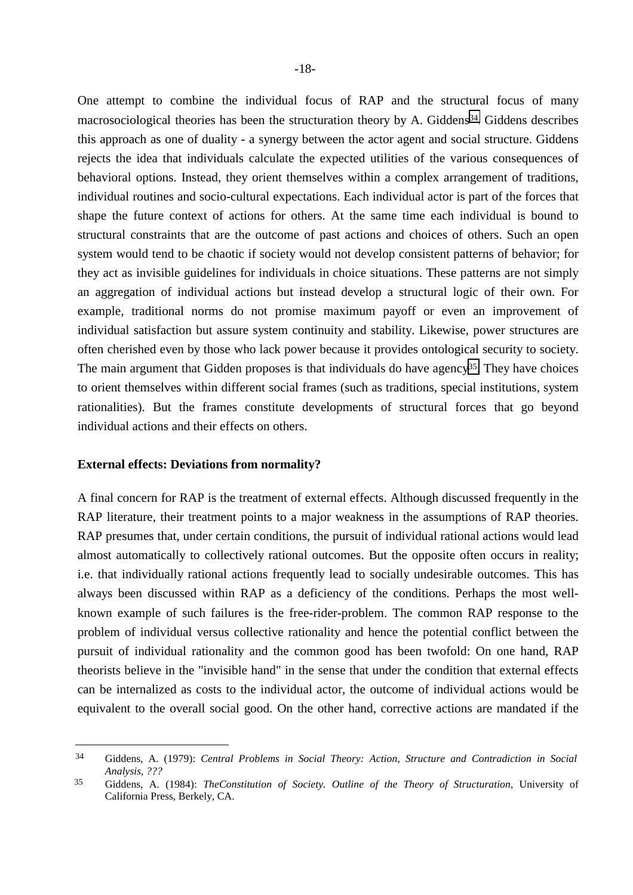One attempt to combine the individual focus of RAP and the structural focus of many macrosociological theories has been the structuration theory by A. Giddens $34$ . Giddens describes this approach as one of duality - a synergy between the actor agent and social structure. Giddens rejects the idea that individuals calculate the expected utilities of the various consequences of behavioral options. Instead, they orient themselves within a complex arrangement of traditions, individual routines and socio-cultural expectations. Each individual actor is part of the forces that shape the future context of actions for others. At the same time each individual is bound to structural constraints that are the outcome of past actions and choices of others. Such an open system would tend to be chaotic if society would not develop consistent patterns of behavior; for they act as invisible guidelines for individuals in choice situations. These patterns are not simply an aggregation of individual actions but instead develop a structural logic of their own. For example, traditional norms do not promise maximum payoff or even an improvement of individual satisfaction but assure system continuity and stability. Likewise, power structures are often cherished even by those who lack power because it provides ontological security to society. The main argument that Gidden proposes is that individuals do have agency<sup>35</sup>. They have choices to orient themselves within different social frames (such as traditions, special institutions, system rationalities). But the frames constitute developments of structural forces that go beyond individual actions and their effects on others.

#### **External effects: Deviations from normality?**

 $\overline{a}$ 

A final concern for RAP is the treatment of external effects. Although discussed frequently in the RAP literature, their treatment points to a major weakness in the assumptions of RAP theories. RAP presumes that, under certain conditions, the pursuit of individual rational actions would lead almost automatically to collectively rational outcomes. But the opposite often occurs in reality; i.e. that individually rational actions frequently lead to socially undesirable outcomes. This has always been discussed within RAP as a deficiency of the conditions. Perhaps the most wellknown example of such failures is the free-rider-problem. The common RAP response to the problem of individual versus collective rationality and hence the potential conflict between the pursuit of individual rationality and the common good has been twofold: On one hand, RAP theorists believe in the "invisible hand" in the sense that under the condition that external effects can be internalized as costs to the individual actor, the outcome of individual actions would be equivalent to the overall social good. On the other hand, corrective actions are mandated if the

<sup>34</sup> Giddens, A. (1979): *Central Problems in Social Theory: Action, Structure and Contradiction in Social Analysis, ???*

<sup>35</sup> Giddens, A. (1984): *TheConstitution of Society. Outline of the Theory of Structuration*, University of California Press, Berkely, CA.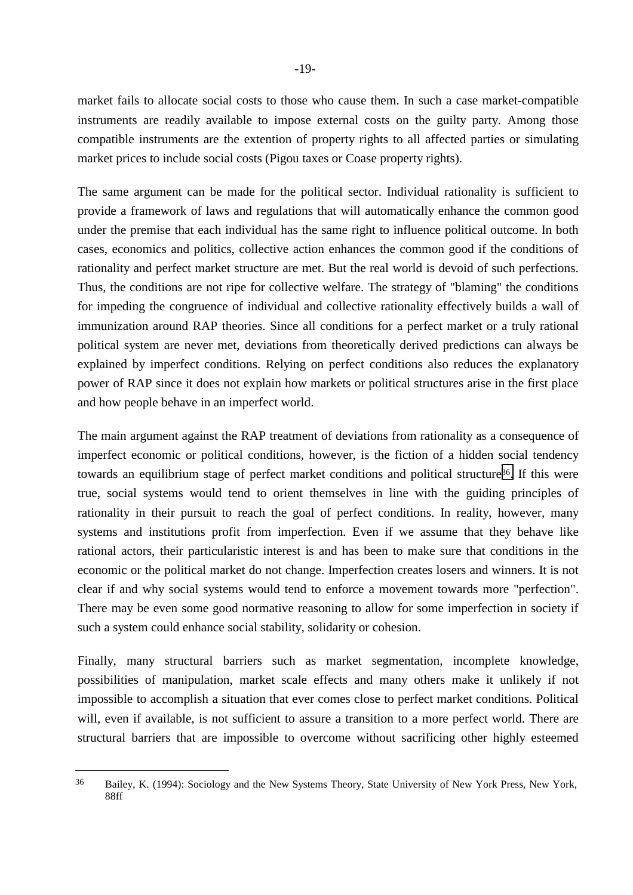market fails to allocate social costs to those who cause them. In such a case market-compatible instruments are readily available to impose external costs on the guilty party. Among those compatible instruments are the extention of property rights to all affected parties or simulating market prices to include social costs (Pigou taxes or Coase property rights).

The same argument can be made for the political sector. Individual rationality is sufficient to provide a framework of laws and regulations that will automatically enhance the common good under the premise that each individual has the same right to influence political outcome. In both cases, economics and politics, collective action enhances the common good if the conditions of rationality and perfect market structure are met. But the real world is devoid of such perfections. Thus, the conditions are not ripe for collective welfare. The strategy of "blaming" the conditions for impeding the congruence of individual and collective rationality effectively builds a wall of immunization around RAP theories. Since all conditions for a perfect market or a truly rational political system are never met, deviations from theoretically derived predictions can always be explained by imperfect conditions. Relying on perfect conditions also reduces the explanatory power of RAP since it does not explain how markets or political structures arise in the first place and how people behave in an imperfect world.

The main argument against the RAP treatment of deviations from rationality as a consequence of imperfect economic or political conditions, however, is the fiction of a hidden social tendency towards an equilibrium stage of perfect market conditions and political structure36. If this were true, social systems would tend to orient themselves in line with the guiding principles of rationality in their pursuit to reach the goal of perfect conditions. In reality, however, many systems and institutions profit from imperfection. Even if we assume that they behave like rational actors, their particularistic interest is and has been to make sure that conditions in the economic or the political market do not change. Imperfection creates losers and winners. It is not clear if and why social systems would tend to enforce a movement towards more "perfection". There may be even some good normative reasoning to allow for some imperfection in society if such a system could enhance social stability, solidarity or cohesion.

Finally, many structural barriers such as market segmentation, incomplete knowledge, possibilities of manipulation, market scale effects and many others make it unlikely if not impossible to accomplish a situation that ever comes close to perfect market conditions. Political will, even if available, is not sufficient to assure a transition to a more perfect world. There are structural barriers that are impossible to overcome without sacrificing other highly esteemed

<sup>36</sup> Bailey, K. (1994): Sociology and the New Systems Theory, State University of New York Press, New York, 88ff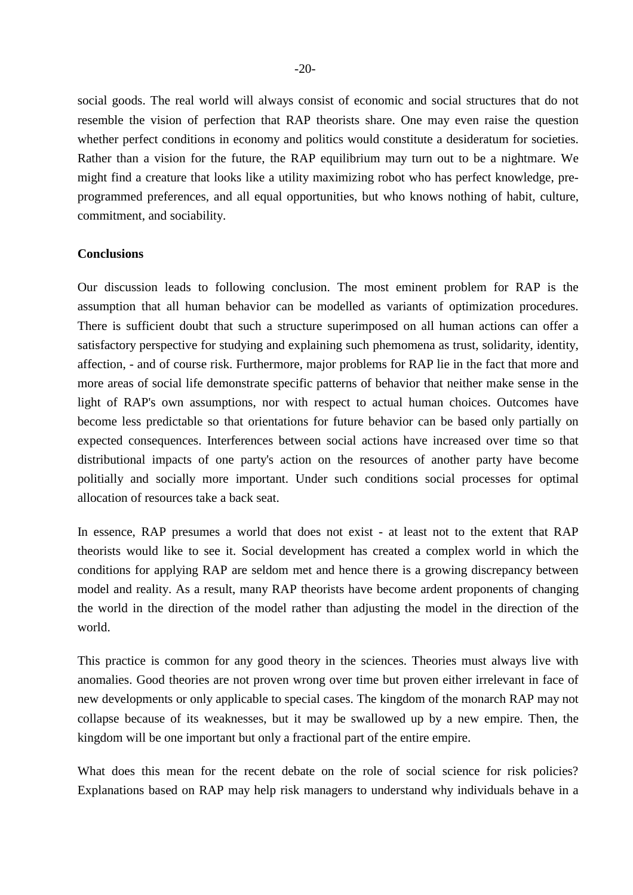social goods. The real world will always consist of economic and social structures that do not resemble the vision of perfection that RAP theorists share. One may even raise the question whether perfect conditions in economy and politics would constitute a desideratum for societies. Rather than a vision for the future, the RAP equilibrium may turn out to be a nightmare. We might find a creature that looks like a utility maximizing robot who has perfect knowledge, preprogrammed preferences, and all equal opportunities, but who knows nothing of habit, culture, commitment, and sociability.

#### **Conclusions**

Our discussion leads to following conclusion. The most eminent problem for RAP is the assumption that all human behavior can be modelled as variants of optimization procedures. There is sufficient doubt that such a structure superimposed on all human actions can offer a satisfactory perspective for studying and explaining such phemomena as trust, solidarity, identity, affection, - and of course risk. Furthermore, major problems for RAP lie in the fact that more and more areas of social life demonstrate specific patterns of behavior that neither make sense in the light of RAP's own assumptions, nor with respect to actual human choices. Outcomes have become less predictable so that orientations for future behavior can be based only partially on expected consequences. Interferences between social actions have increased over time so that distributional impacts of one party's action on the resources of another party have become politially and socially more important. Under such conditions social processes for optimal allocation of resources take a back seat.

In essence, RAP presumes a world that does not exist - at least not to the extent that RAP theorists would like to see it. Social development has created a complex world in which the conditions for applying RAP are seldom met and hence there is a growing discrepancy between model and reality. As a result, many RAP theorists have become ardent proponents of changing the world in the direction of the model rather than adjusting the model in the direction of the world.

This practice is common for any good theory in the sciences. Theories must always live with anomalies. Good theories are not proven wrong over time but proven either irrelevant in face of new developments or only applicable to special cases. The kingdom of the monarch RAP may not collapse because of its weaknesses, but it may be swallowed up by a new empire. Then, the kingdom will be one important but only a fractional part of the entire empire.

What does this mean for the recent debate on the role of social science for risk policies? Explanations based on RAP may help risk managers to understand why individuals behave in a